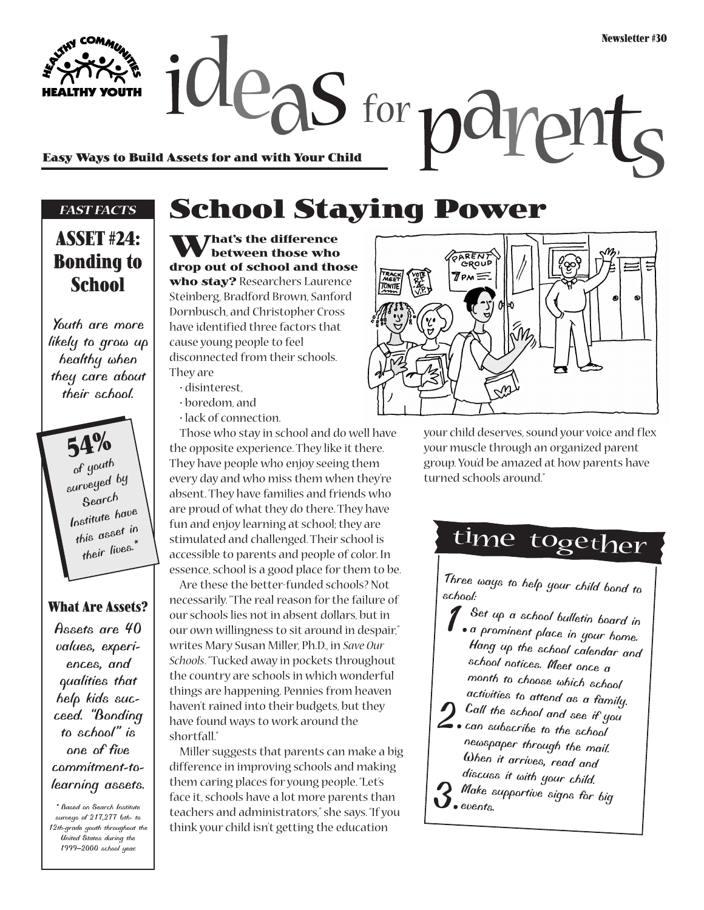$\alpha$  deas for  $\alpha$ m **Easy Ways to Build Assets for and with Your Child**

#### *FAST FACTS*

### **ASSET #24: Bonding to School**

*Youth are more likely to grow up healthy when they care about their school.*

> **54%** *of youth surveyed by Search Institute have this asset in their lives.\**

#### **What Are Assets?**

*Assets are 40 values, experiences, and qualities that help kids succeed. "Bonding to school" is one of five commitment-tolearning assets.*

*\* Based on Search Institute surveys of 217,277 6th- to 12th-grade youth throughout the United States during the 1999–2000 school year.*

# **School Staying Power**

**What's the difference between those who drop out of school and those who stay?** Researchers Laurence Steinberg, Bradford Brown, Sanford Dornbusch, and Christopher Cross have identified three factors that cause young people to feel disconnected from their schools. They are

- disinterest,
- boredom, and
- lack of connection.

Those who stay in school and do well have the opposite experience. They like it there. They have people who enjoy seeing them every day and who miss them when they're absent. They have families and friends who are proud of what they do there. They have fun and enjoy learning at school; they are stimulated and challenged. Their school is accessible to parents and people of color. In essence, school is a good place for them to be.

Are these the better-funded schools? Not necessarily. "The real reason for the failure of our schools lies not in absent dollars, but in our own willingness to sit around in despair," writes Mary Susan Miller, Ph.D., in *Save Our Schools*. "Tucked away in pockets throughout the country are schools in which wonderful things are happening. Pennies from heaven haven't rained into their budgets, but they have found ways to work around the shortfall."

Miller suggests that parents can make a big difference in improving schools and making them caring places for young people. "Let's face it, schools have a lot more parents than teachers and administrators," she says. "If you think your child isn't getting the education



your child deserves, sound your voice and flex your muscle through an organized parent group. You'd be amazed at how parents have turned schools around."

## time together

*Three ways to help your child bond to school:*

- *1.Set up a school bulletin board in a prominent place in your home. Hang up the school calendar and school notices. Meet once a month to choose which school activities to attend as a family.*
- *2.Call the school and see if you can subscribe to the school*
- *newspaper through the mail. When it arrives, read and discuss it with your child.*
- *3.Make supportive signs for big events.*